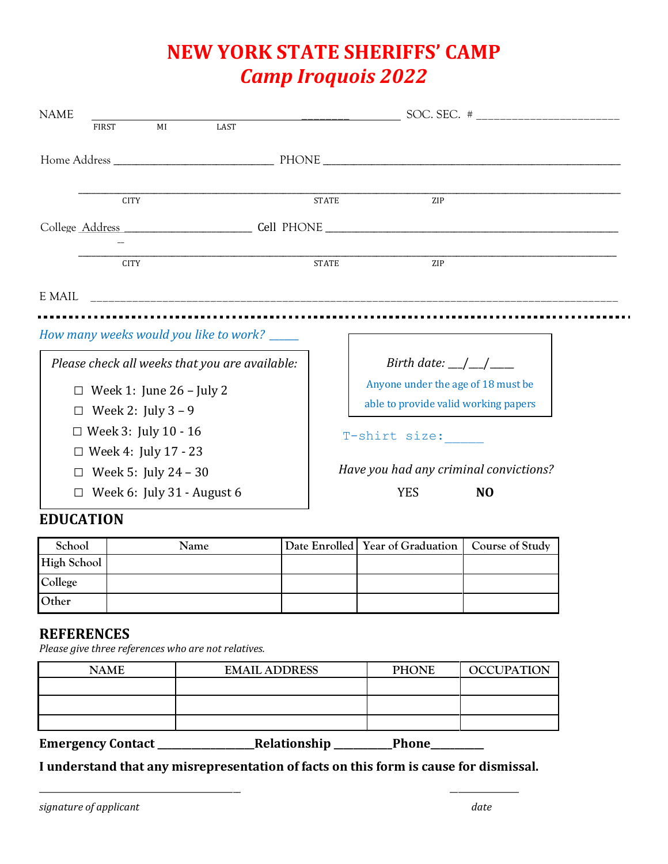## **NEW YORK STATE SHERIFFS' CAMP** *Camp Iroquois 2022*

| <b>NAME</b>                                                                                                     |                                                                                                            |                              |                                                                                                                                                                                                          |
|-----------------------------------------------------------------------------------------------------------------|------------------------------------------------------------------------------------------------------------|------------------------------|----------------------------------------------------------------------------------------------------------------------------------------------------------------------------------------------------------|
| <b>FIRST</b>                                                                                                    | MI<br>LAST                                                                                                 |                              |                                                                                                                                                                                                          |
| <b>CITY</b><br><b>CITY</b>                                                                                      |                                                                                                            | <b>STATE</b><br><b>STATE</b> | ZIP<br><b>ZIP</b>                                                                                                                                                                                        |
| How many weeks would you like to work? _____                                                                    |                                                                                                            |                              |                                                                                                                                                                                                          |
| Week 2: July $3 - 9$<br>П<br>$\Box$ Week 3: July 10 - 16<br>$\Box$ Week 4: July 17 - 23<br>Week 5: July 24 – 30 | Please check all weeks that you are available:<br>Week 1: June $26$ – July 2<br>Week 6: July 31 - August 6 |                              | Birth date: $\angle$ / $\angle$<br>Anyone under the age of 18 must be<br>able to provide valid working papers<br>T-shirt size:<br>Have you had any criminal convictions?<br><b>YES</b><br>N <sub>O</sub> |

## **EDUCATION**

| School      | Name | Date Enrolled   Year of Graduation | Course of Study |
|-------------|------|------------------------------------|-----------------|
| High School |      |                                    |                 |
| College     |      |                                    |                 |
| Other       |      |                                    |                 |

## **REFERENCES**

*Please give three references who are not relatives.*

| <b>NAME</b>              | <b>EMAIL ADDRESS</b> | <b>PHONE</b> | <b>OCCUPATION</b> |
|--------------------------|----------------------|--------------|-------------------|
|                          |                      |              |                   |
|                          |                      |              |                   |
|                          |                      |              |                   |
| <b>Emergency Contact</b> | Relationship         | Phone        |                   |

**I understand that any misrepresentation of facts on this form is cause for dismissal.**

\_\_\_\_\_\_\_\_\_\_\_\_\_\_\_\_\_\_\_\_\_\_\_\_\_\_\_\_\_\_\_\_\_\_\_\_\_\_\_\_\_\_\_\_\_\_\_\_\_\_ \_\_\_\_\_\_\_\_\_\_\_\_\_\_\_\_\_